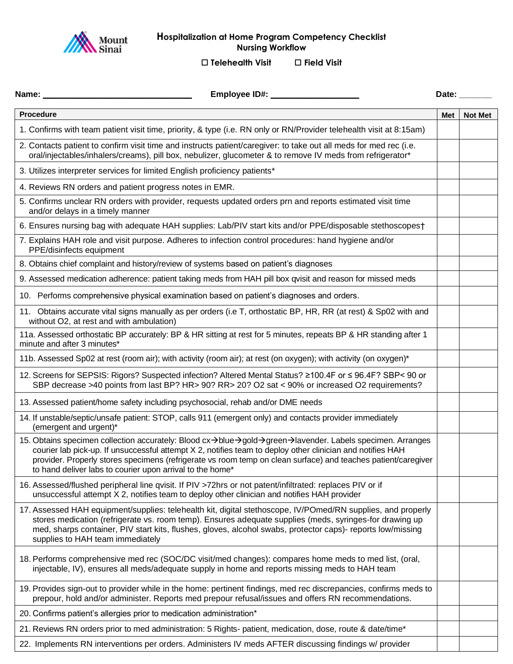

## **Hospitalization at Home Program Competency Checklist Nursing Workflow**

**Telehealth Visit Field Visit**

|                                                                                                                                                                                                                                                                                                                                                                                                      |     | Date:          |
|------------------------------------------------------------------------------------------------------------------------------------------------------------------------------------------------------------------------------------------------------------------------------------------------------------------------------------------------------------------------------------------------------|-----|----------------|
| <b>Procedure</b>                                                                                                                                                                                                                                                                                                                                                                                     | Met | <b>Not Met</b> |
| 1. Confirms with team patient visit time, priority, & type (i.e. RN only or RN/Provider telehealth visit at 8:15am)                                                                                                                                                                                                                                                                                  |     |                |
| 2. Contacts patient to confirm visit time and instructs patient/caregiver: to take out all meds for med rec (i.e.<br>oral/injectables/inhalers/creams), pill box, nebulizer, glucometer & to remove IV meds from refrigerator*                                                                                                                                                                       |     |                |
| 3. Utilizes interpreter services for limited English proficiency patients*                                                                                                                                                                                                                                                                                                                           |     |                |
| 4. Reviews RN orders and patient progress notes in EMR.                                                                                                                                                                                                                                                                                                                                              |     |                |
| 5. Confirms unclear RN orders with provider, requests updated orders prn and reports estimated visit time<br>and/or delays in a timely manner                                                                                                                                                                                                                                                        |     |                |
| 6. Ensures nursing bag with adequate HAH supplies: Lab/PIV start kits and/or PPE/disposable stethoscopes†                                                                                                                                                                                                                                                                                            |     |                |
| 7. Explains HAH role and visit purpose. Adheres to infection control procedures: hand hygiene and/or<br>PPE/disinfects equipment                                                                                                                                                                                                                                                                     |     |                |
| 8. Obtains chief complaint and history/review of systems based on patient's diagnoses                                                                                                                                                                                                                                                                                                                |     |                |
| 9. Assessed medication adherence: patient taking meds from HAH pill box qvisit and reason for missed meds                                                                                                                                                                                                                                                                                            |     |                |
| 10. Performs comprehensive physical examination based on patient's diagnoses and orders.                                                                                                                                                                                                                                                                                                             |     |                |
| 11. Obtains accurate vital signs manually as per orders (i.e T, orthostatic BP, HR, RR (at rest) & Sp02 with and<br>without O2, at rest and with ambulation)                                                                                                                                                                                                                                         |     |                |
| 11a. Assessed orthostatic BP accurately: BP & HR sitting at rest for 5 minutes, repeats BP & HR standing after 1<br>minute and after 3 minutes*                                                                                                                                                                                                                                                      |     |                |
| 11b. Assessed Sp02 at rest (room air); with activity (room air); at rest (on oxygen); with activity (on oxygen)*                                                                                                                                                                                                                                                                                     |     |                |
| 12. Screens for SEPSIS: Rigors? Suspected infection? Altered Mental Status? ≥100.4F or ≤ 96.4F? SBP< 90 or<br>SBP decrease >40 points from last BP? HR> 90? RR> 20? O2 sat < 90% or increased O2 requirements?                                                                                                                                                                                       |     |                |
| 13. Assessed patient/home safety including psychosocial, rehab and/or DME needs                                                                                                                                                                                                                                                                                                                      |     |                |
| 14. If unstable/septic/unsafe patient: STOP, calls 911 (emergent only) and contacts provider immediately<br>(emergent and urgent)*                                                                                                                                                                                                                                                                   |     |                |
| 15. Obtains specimen collection accurately: Blood cx→blue→gold→green→lavender. Labels specimen. Arranges<br>courier lab pick-up. If unsuccessful attempt X 2, notifies team to deploy other clinician and notifies HAH<br>provider. Properly stores specimens (refrigerate vs room temp on clean surface) and teaches patient/caregiver<br>to hand deliver labs to courier upon arrival to the home* |     |                |
| 16. Assessed/flushed peripheral line qvisit. If PIV >72hrs or not patent/infiltrated: replaces PIV or if<br>unsuccessful attempt X 2, notifies team to deploy other clinician and notifies HAH provider                                                                                                                                                                                              |     |                |
| 17. Assessed HAH equipment/supplies: telehealth kit, digital stethoscope, IV/POmed/RN supplies, and properly<br>stores medication (refrigerate vs. room temp). Ensures adequate supplies (meds, syringes-for drawing up<br>med, sharps container, PIV start kits, flushes, gloves, alcohol swabs, protector caps)- reports low/missing<br>supplies to HAH team immediately                           |     |                |
| 18. Performs comprehensive med rec (SOC/DC visit/med changes): compares home meds to med list, (oral,<br>injectable, IV), ensures all meds/adequate supply in home and reports missing meds to HAH team                                                                                                                                                                                              |     |                |
| 19. Provides sign-out to provider while in the home: pertinent findings, med rec discrepancies, confirms meds to<br>prepour, hold and/or administer. Reports med prepour refusal/issues and offers RN recommendations.                                                                                                                                                                               |     |                |
| 20. Confirms patient's allergies prior to medication administration*                                                                                                                                                                                                                                                                                                                                 |     |                |
| 21. Reviews RN orders prior to med administration: 5 Rights- patient, medication, dose, route & date/time*                                                                                                                                                                                                                                                                                           |     |                |
| 22. Implements RN interventions per orders. Administers IV meds AFTER discussing findings w/ provider                                                                                                                                                                                                                                                                                                |     |                |